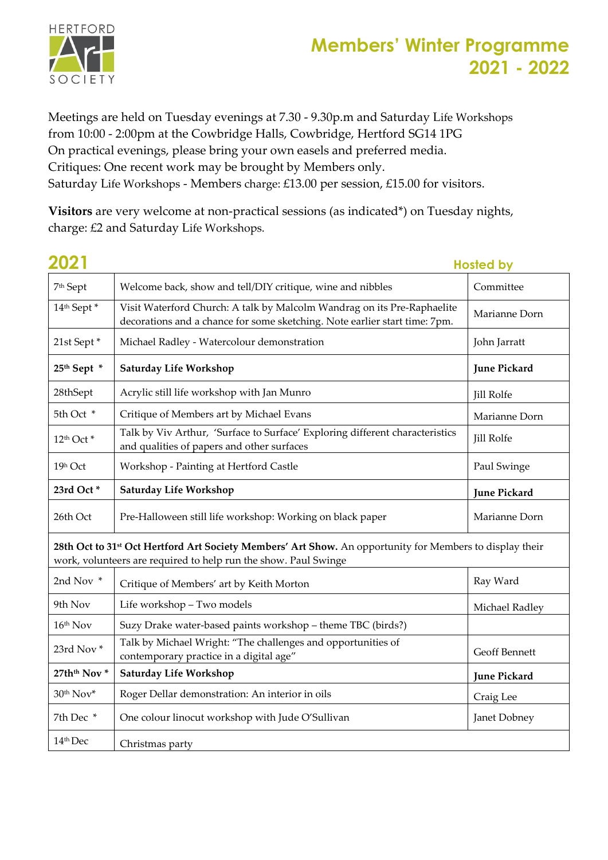

Meetings are held on Tuesday evenings at 7.30 - 9.30p.m and Saturday Life Workshops from 10:00 - 2:00pm at the Cowbridge Halls, Cowbridge, Hertford SG14 1PG On practical evenings, please bring your own easels and preferred media. Critiques: One recent work may be brought by Members only. Saturday Life Workshops - Members charge: £13.00 per session, £15.00 for visitors.

**Visitors** are very welcome at non-practical sessions (as indicated\*) on Tuesday nights, charge: £2 and Saturday Life Workshops.

| 2021                                |                                                                                                                                                                                         | <b>Hosted by</b>    |
|-------------------------------------|-----------------------------------------------------------------------------------------------------------------------------------------------------------------------------------------|---------------------|
| 7 <sup>th</sup> Sept                | Welcome back, show and tell/DIY critique, wine and nibbles                                                                                                                              | Committee           |
| 14th Sept*                          | Visit Waterford Church: A talk by Malcolm Wandrag on its Pre-Raphaelite<br>decorations and a chance for some sketching. Note earlier start time: 7pm.                                   | Marianne Dorn       |
| 21st Sept*                          | Michael Radley - Watercolour demonstration                                                                                                                                              | John Jarratt        |
| 25th Sept *                         | <b>Saturday Life Workshop</b>                                                                                                                                                           | <b>June Pickard</b> |
| 28thSept                            | Acrylic still life workshop with Jan Munro                                                                                                                                              | <b>Jill Rolfe</b>   |
| 5th Oct *                           | Critique of Members art by Michael Evans                                                                                                                                                | Marianne Dorn       |
| 12 <sup>th</sup> Oct <sup>*</sup>   | Talk by Viv Arthur, 'Surface to Surface' Exploring different characteristics<br>and qualities of papers and other surfaces                                                              | <b>Jill Rolfe</b>   |
| 19h Oct                             | Workshop - Painting at Hertford Castle                                                                                                                                                  | Paul Swinge         |
| 23rd Oct*                           | Saturday Life Workshop                                                                                                                                                                  | <b>June Pickard</b> |
| 26th Oct                            | Pre-Halloween still life workshop: Working on black paper                                                                                                                               | Marianne Dorn       |
|                                     | 28th Oct to 31 <sup>st</sup> Oct Hertford Art Society Members' Art Show. An opportunity for Members to display their<br>work, volunteers are required to help run the show. Paul Swinge |                     |
| 2nd Nov *                           | Critique of Members' art by Keith Morton                                                                                                                                                | Ray Ward            |
| 9th Nov                             | Life workshop - Two models                                                                                                                                                              | Michael Radley      |
| 16th Nov                            | Suzy Drake water-based paints workshop - theme TBC (birds?)                                                                                                                             |                     |
| 23rd Nov*                           | Talk by Michael Wright: "The challenges and opportunities of<br>contemporary practice in a digital age"                                                                                 | Geoff Bennett       |
| 27th <sup>th</sup> Nov <sup>*</sup> | <b>Saturday Life Workshop</b>                                                                                                                                                           | <b>June Pickard</b> |
| 30th Nov*                           | Roger Dellar demonstration: An interior in oils                                                                                                                                         | Craig Lee           |
| 7th Dec *                           | One colour linocut workshop with Jude O'Sullivan                                                                                                                                        | Janet Dobney        |
| 14 <sup>th</sup> Dec                | Christmas party                                                                                                                                                                         |                     |